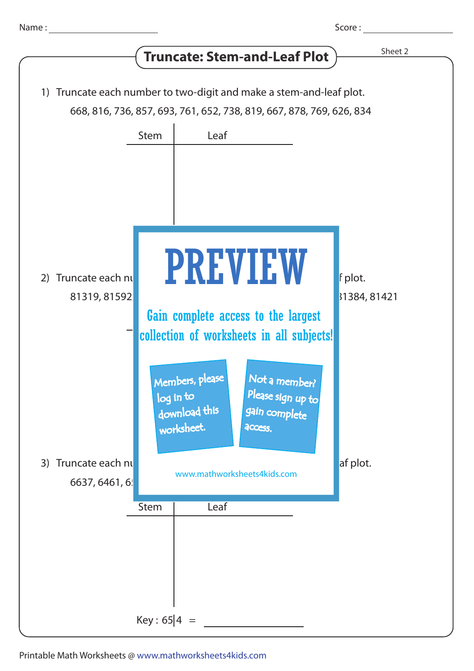